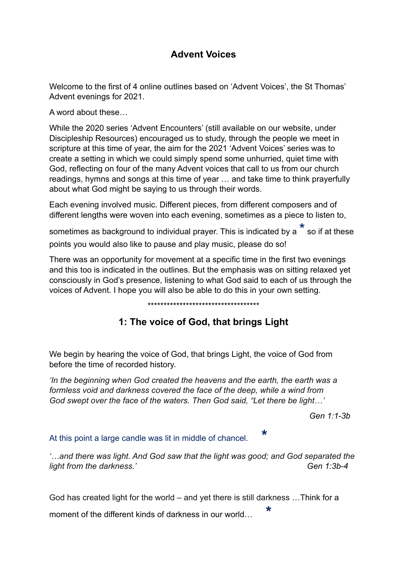## **Advent Voices**

Welcome to the first of 4 online outlines based on 'Advent Voices', the St Thomas' Advent evenings for 2021.

A word about these…

While the 2020 series 'Advent Encounters' (still available on our website, under Discipleship Resources) encouraged us to study, through the people we meet in scripture at this time of year, the aim for the 2021 'Advent Voices' series was to create a setting in which we could simply spend some unhurried, quiet time with God, reflecting on four of the many Advent voices that call to us from our church readings, hymns and songs at this time of year … and take time to think prayerfully about what God might be saying to us through their words.

Each evening involved music. Different pieces, from different composers and of different lengths were woven into each evening, sometimes as a piece to listen to,

sometimes as background to individual prayer. This is indicated by a  $\overset{\star}{\,}$  so if at these points you would also like to pause and play music, please do so!

There was an opportunity for movement at a specific time in the first two evenings and this too is indicated in the outlines. But the emphasis was on sitting relaxed yet consciously in God's presence, listening to what God said to each of us through the voices of Advent. I hope you will also be able to do this in your own setting.

## \*\*\*\*\*\*\*\*\*\*\*\*\*\*\*\*\*\*\*\*\*\*\*\*\*\*\*\*\*\*\*\*\*\*\*

## **1: The voice of God, that brings Light**

We begin by hearing the voice of God, that brings Light, the voice of God from before the time of recorded history.

*'In the beginning when God created the heavens and the earth, the earth was a formless void and darkness covered the face of the deep, while a wind from God swept over the face of the waters. Then God said, "Let there be light…'*

*Gen 1:1-3b* 

At this point a large candle was lit in middle of chancel. **\***

*'…and there was light. And God saw that the light was good; and God separated the light from the darkness.' Gen 1:3b-4* 

God has created light for the world – and yet there is still darkness …Think for a

moment of the different kinds of darkness in our world… **\***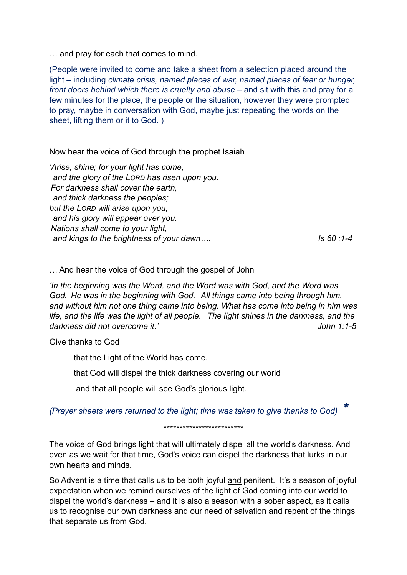… and pray for each that comes to mind.

(People were invited to come and take a sheet from a selection placed around the light – including *climate crisis, named places of war, named places of fear or hunger, front doors behind which there is cruelty and abuse – and sit with this and pray for a* few minutes for the place, the people or the situation, however they were prompted to pray, maybe in conversation with God, maybe just repeating the words on the sheet, lifting them or it to God. )

Now hear the voice of God through the prophet Isaiah

*'Arise, shine; for your light has come, and the glory of the LORD has risen upon you. For darkness shall cover the earth, and thick darkness the peoples; but the LORD will arise upon you, and his glory will appear over you. Nations shall come to your light, and kings to the brightness of your dawn…. Is 60 :1-4*

… And hear the voice of God through the gospel of John

*'In the beginning was the Word, and the Word was with God, and the Word was God. He was in the beginning with God. All things came into being through him, and without him not one thing came into being. What has come into being in him was life, and the life was the light of all people. The light shines in the darkness, and the darkness did not overcome it.' John 1:1-5*

Give thanks to God

that the Light of the World has come,

that God will dispel the thick darkness covering our world

and that all people will see God's glorious light.

*(Prayer sheets were returned to the light; time was taken to give thanks to God) \** 

\*\*\*\*\*\*\*\*\*\*\*\*\*\*\*\*\*\*\*\*\*\*\*\*\*

The voice of God brings light that will ultimately dispel all the world's darkness. And even as we wait for that time, God's voice can dispel the darkness that lurks in our own hearts and minds.

So Advent is a time that calls us to be both joyful and penitent. It's a season of joyful expectation when we remind ourselves of the light of God coming into our world to dispel the world's darkness – and it is also a season with a sober aspect, as it calls us to recognise our own darkness and our need of salvation and repent of the things that separate us from God.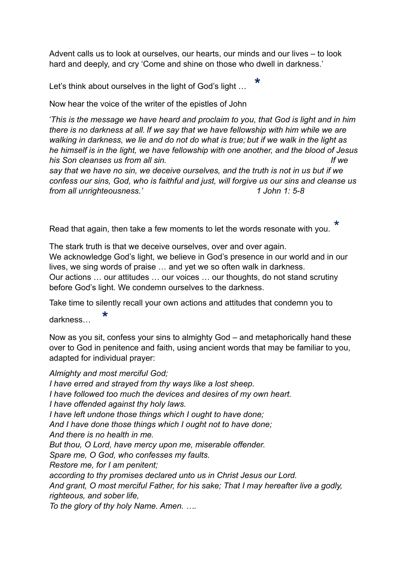Advent calls us to look at ourselves, our hearts, our minds and our lives – to look hard and deeply, and cry 'Come and shine on those who dwell in darkness.'

Let's think about ourselves in the light of God's light … **\***

Now hear the voice of the writer of the epistles of John

*' This is the message we have heard and proclaim to you, that God is light and in him there is no darkness at all. If we say that we have fellowship with him while we are walking in darkness, we lie and do not do what is true; but if we walk in the light as he himself is in the light, we have fellowship with one another, and the blood of Jesus his Son cleanses us from all sin. If we say that we have no sin, we deceive ourselves, and the truth is not in us but if we* 

*confess our sins, God, who is faithful and just, will forgive us our sins and cleanse us from all unrighteousness.' 1 John 1: 5-8* 

Read that again, then take a few moments to let the words resonate with you. \*

The stark truth is that we deceive ourselves, over and over again. We acknowledge God's light, we believe in God's presence in our world and in our lives, we sing words of praise … and yet we so often walk in darkness. Our actions … our attitudes … our voices … our thoughts, do not stand scrutiny before God's light. We condemn ourselves to the darkness.

Take time to silently recall your own actions and attitudes that condemn you to

darkness… **\***

Now as you sit, confess your sins to almighty God – and metaphorically hand these over to God in penitence and faith, using ancient words that may be familiar to you, adapted for individual prayer:

*Almighty and most merciful God; I have erred and strayed from thy ways like a lost sheep. I have followed too much the devices and desires of my own heart. I have offended against thy holy laws. I have left undone those things which I ought to have done; And I have done those things which I ought not to have done; And there is no health in me. But thou, O Lord, have mercy upon me, miserable offender. Spare me, O God, who confesses my faults. Restore me, for I am penitent; according to thy promises declared unto us in Christ Jesus our Lord. And grant, O most merciful Father, for his sake; That I may hereafter live a godly, righteous, and sober life, To the glory of thy holy Name. Amen. ….*